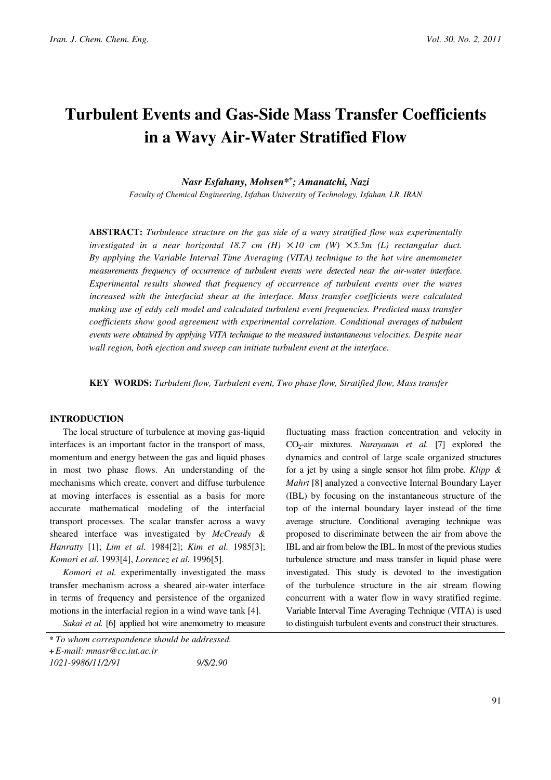# Turbulent Events and Gas-Side Mass Transfer Coefficients in a Wavy Air-Water Stratified Flow

Nasr Esfahany, Mohsen\*<sup>+</sup> ; Amanatchi, Nazi

Faculty of Chemical Engineering, Isfahan University of Technology, Isfahan, I.R. IRAN

ABSTRACT: Turbulence structure on the gas side of a wavy stratified flow was experimentally investigated in a near horizontal 18.7 cm  $(H) \times 10$  cm  $(W) \times 5.5m$  (L) rectangular duct. By applying the Variable Interval Time Averaging (VITA) technique to the hot wire anemometer measurements frequency of occurrence of turbulent events were detected near the air-water interface. Experimental results showed that frequency of occurrence of turbulent events over the waves increased with the interfacial shear at the interface. Mass transfer coefficients were calculated making use of eddy cell model and calculated turbulent event frequencies. Predicted mass transfer coefficients show good agreement with experimental correlation. Conditional averages of turbulent events were obtained by applying VITA technique to the measured instantaneous velocities. Despite near wall region, both ejection and sweep can initiate turbulent event at the interface.

KEY WORDS: Turbulent flow, Turbulent event, Two phase flow, Stratified flow, Mass transfer

## INTRODUCTION

The local structure of turbulence at moving gas-liquid interfaces is an important factor in the transport of mass, momentum and energy between the gas and liquid phases in most two phase flows. An understanding of the mechanisms which create, convert and diffuse turbulence at moving interfaces is essential as a basis for more accurate mathematical modeling of the interfacial transport processes. The scalar transfer across a wavy sheared interface was investigated by McCready & Hanratty [1]; Lim et al. 1984[2]; Kim et al. 1985[3]; Komori et al. 1993[4], Lorencez et al. 1996[5].

Komori et al. experimentally investigated the mass transfer mechanism across a sheared air-water interface in terms of frequency and persistence of the organized motions in the interfacial region in a wind wave tank [4].

Sakai et al. [6] applied hot wire anemometry to measure \* To whom correspondence should be addressed.

fluctuating mass fraction concentration and velocity in  $CO<sub>2</sub>-air$  mixtures. Narayanan et al. [7] explored the dynamics and control of large scale organized structures for a jet by using a single sensor hot film probe. Klipp  $\&$ Mahrt [8] analyzed a convective Internal Boundary Layer (IBL) by focusing on the instantaneous structure of the top of the internal boundary layer instead of the time average structure. Conditional averaging technique was proposed to discriminate between the air from above the IBL and air from below the IBL. In most of the previous studies turbulence structure and mass transfer in liquid phase were investigated. This study is devoted to the investigation of the turbulence structure in the air stream flowing concurrent with a water flow in wavy stratified regime. Variable Interval Time Averaging Technique (VITA) is used to distinguish turbulent events and construct their structures.

<sup>+</sup> E-mail: mnasr@cc.iut.ac.ir 1021-9986/11/2/91 9/\$/2.90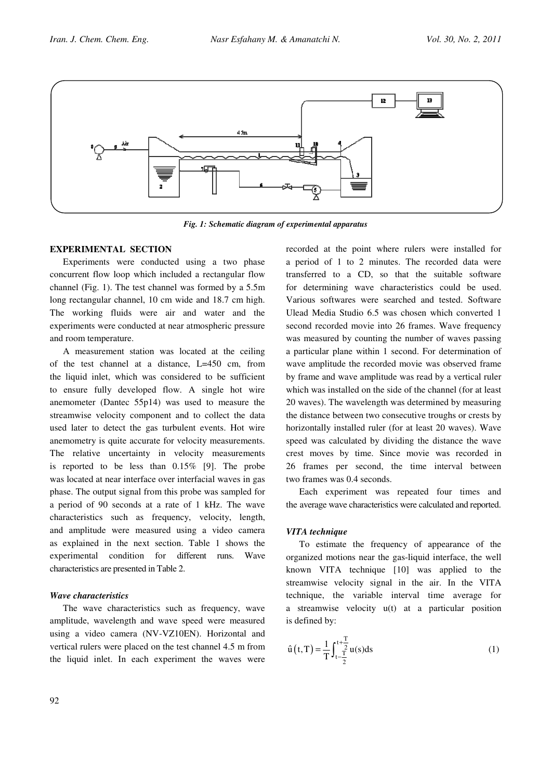

Fig. 1: Schematic diagram of experimental apparatus

## EXPERIMENTAL SECTION

Experiments were conducted using a two phase concurrent flow loop which included a rectangular flow channel (Fig. 1). The test channel was formed by a 5.5m long rectangular channel, 10 cm wide and 18.7 cm high. The working fluids were air and water and the experiments were conducted at near atmospheric pressure and room temperature.

A measurement station was located at the ceiling of the test channel at a distance, L=450 cm, from the liquid inlet, which was considered to be sufficient to ensure fully developed flow. A single hot wire anemometer (Dantec 55p14) was used to measure the streamwise velocity component and to collect the data used later to detect the gas turbulent events. Hot wire anemometry is quite accurate for velocity measurements. The relative uncertainty in velocity measurements is reported to be less than 0.15% [9]. The probe was located at near interface over interfacial waves in gas phase. The output signal from this probe was sampled for a period of 90 seconds at a rate of 1 kHz. The wave characteristics such as frequency, velocity, length, and amplitude were measured using a video camera as explained in the next section. Table 1 shows the experimental condition for different runs. Wave characteristics are presented in Table 2.

## Wave characteristics

The wave characteristics such as frequency, wave amplitude, wavelength and wave speed were measured using a video camera (NV-VZ10EN). Horizontal and vertical rulers were placed on the test channel 4.5 m from the liquid inlet. In each experiment the waves were recorded at the point where rulers were installed for a period of 1 to 2 minutes. The recorded data were transferred to a CD, so that the suitable software for determining wave characteristics could be used. Various softwares were searched and tested. Software Ulead Media Studio 6.5 was chosen which converted 1 second recorded movie into 26 frames. Wave frequency was measured by counting the number of waves passing a particular plane within 1 second. For determination of wave amplitude the recorded movie was observed frame by frame and wave amplitude was read by a vertical ruler which was installed on the side of the channel (for at least 20 waves). The wavelength was determined by measuring the distance between two consecutive troughs or crests by horizontally installed ruler (for at least 20 waves). Wave speed was calculated by dividing the distance the wave crest moves by time. Since movie was recorded in 26 frames per second, the time interval between two frames was 0.4 seconds.

Each experiment was repeated four times and the average wave characteristics were calculated and reported.

## VITA technique

To estimate the frequency of appearance of the organized motions near the gas-liquid interface, the well known VITA technique [10] was applied to the streamwise velocity signal in the air. In the VITA technique, the variable interval time average for a streamwise velocity u(t) at a particular position is defined by:

$$
\hat{u}(t,T) = \frac{1}{T} \int_{t-\frac{T}{2}}^{t+\frac{T}{2}} u(s)ds
$$
 (1)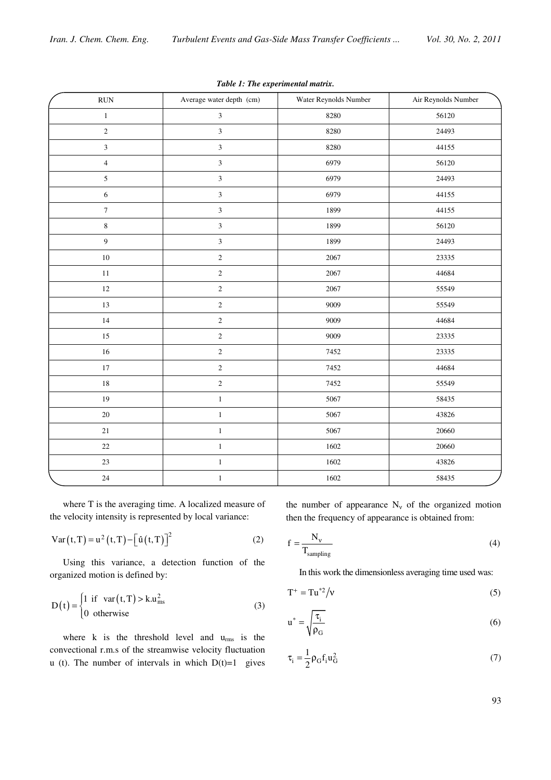| $\mathop{\rm RUN}\nolimits$ | Average water depth (cm) | Water Reynolds Number | Air Reynolds Number |
|-----------------------------|--------------------------|-----------------------|---------------------|
| $\,1\,$                     | $\overline{3}$           | 8280                  | 56120               |
| $\overline{2}$              | $\overline{3}$           | 8280                  | 24493               |
| $\overline{3}$              | $\mathfrak{Z}$           | 8280                  | 44155               |
| $\overline{4}$              | $\mathfrak{Z}$           | 6979                  | 56120               |
| 5                           | $\mathfrak{Z}$           | 6979                  | 24493               |
| $\sqrt{6}$                  | $\overline{\mathbf{3}}$  | 6979                  | 44155               |
| $\boldsymbol{7}$            | $\mathfrak{Z}$           | 1899                  | 44155               |
| $\bf 8$                     | $\overline{3}$           | 1899                  | 56120               |
| 9                           | $\overline{3}$           | 1899                  | 24493               |
| $10\,$                      | $\sqrt{2}$               | 2067                  | 23335               |
| $1\,1$                      | $\sqrt{2}$               | 2067                  | 44684               |
| 12                          | $\sqrt{2}$               | 2067                  | 55549               |
| 13                          | $\sqrt{2}$               | 9009                  | 55549               |
| 14                          | $\sqrt{2}$               | 9009                  | 44684               |
| 15                          | $\sqrt{2}$               | 9009                  | 23335               |
| 16                          | $\sqrt{2}$               | 7452                  | 23335               |
| $17\,$                      | $\overline{c}$           | 7452                  | 44684               |
| $18\,$                      | $\sqrt{2}$               | 7452                  | 55549               |
| 19                          | $\,1$                    | 5067                  | 58435               |
| 20                          | $\,1$                    | 5067                  | 43826               |
| 21                          | $\,1$                    | 5067                  | 20660               |
| 22                          | $\,1$                    | 1602                  | 20660               |
| 23                          | $\,1$                    | 1602                  | 43826               |
| 24                          | $\,1$                    | 1602                  | 58435               |

Table 1: The experimental matrix.

where T is the averaging time. A localized measure of the velocity intensity is represented by local variance:

Var(t, T) = u<sup>2</sup>(t, T) - [
$$
\hat{u}(t,T)
$$
]<sup>2</sup> (2)

Using this variance, a detection function of the organized motion is defined by:

$$
D(t) = \begin{cases} 1 & \text{if } var(t, T) > k.u_{\text{ms}}^2\\ 0 & \text{otherwise} \end{cases}
$$
 (3)

where k is the threshold level and  $u_{\rm rms}$  is the convectional r.m.s of the streamwise velocity fluctuation u (t). The number of intervals in which  $D(t)=1$  gives the number of appearance  $N_v$  of the organized motion then the frequency of appearance is obtained from:

$$
f = \frac{N_v}{T_{sampling}}\tag{4}
$$

In this work the dimensionless averaging time used was:

$$
T^+ = Tu^{*2}/v \tag{5}
$$

$$
u^* = \sqrt{\frac{\tau_i}{\rho_G}}\tag{6}
$$

$$
\tau_{i} = \frac{1}{2} \rho_{G} f_{i} u_{G}^{2} \tag{7}
$$

93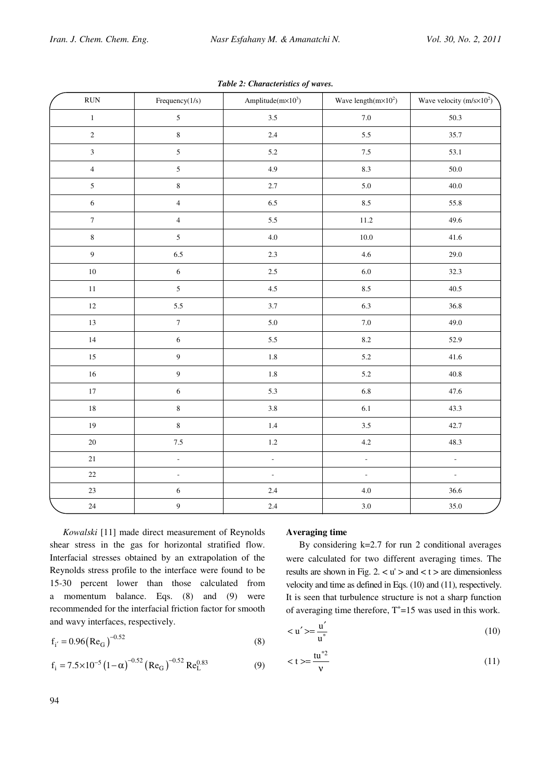| RUN                     | Frequency(1/s)   | Amplitude $(m \times 10^3)$ | Wave length $(m \times 10^2)$ | Wave velocity $(m/s \times 10^2)$ |
|-------------------------|------------------|-----------------------------|-------------------------------|-----------------------------------|
| $\,1$                   | $\mathfrak{S}$   | 3.5                         | $7.0\,$                       | 50.3                              |
| $\sqrt{2}$              | $\,8\,$          | $2.4\,$                     | 5.5                           | 35.7                              |
| $\overline{\mathbf{3}}$ | $\overline{5}$   | 5.2                         | $7.5\,$                       | 53.1                              |
| $\overline{4}$          | $\mathfrak{S}$   | 4.9                         | $8.3\,$                       | $50.0\,$                          |
| $\mathfrak{S}$          | $8\,$            | 2.7                         | 5.0                           | 40.0                              |
| $\sqrt{6}$              | $\overline{4}$   | 6.5                         | $8.5\,$                       | 55.8                              |
| $\boldsymbol{7}$        | $\overline{4}$   | 5.5                         | 11.2                          | 49.6                              |
| $\,8\,$                 | $\overline{5}$   | 4.0                         | $10.0\,$                      | 41.6                              |
| $\overline{9}$          | 6.5              | 2.3                         | 4.6                           | 29.0                              |
| $10\,$                  | $\sqrt{6}$       | $2.5\,$                     | $6.0\,$                       | 32.3                              |
| $11\,$                  | $\overline{5}$   | 4.5                         | $8.5\,$                       | 40.5                              |
| $12\,$                  | 5.5              | 3.7                         | 6.3                           | 36.8                              |
| 13                      | $\boldsymbol{7}$ | 5.0                         | $7.0\,$                       | 49.0                              |
| 14                      | $\sqrt{6}$       | 5.5                         | $8.2\,$                       | 52.9                              |
| $15\,$                  | $\overline{9}$   | $1.8\,$                     | 5.2                           | 41.6                              |
| 16                      | $\overline{9}$   | $1.8\,$                     | 5.2                           | 40.8                              |
| $17\,$                  | $\sqrt{6}$       | 5.3                         | $6.8\,$                       | 47.6                              |
| $18\,$                  | $\,8\,$          | 3.8                         | 6.1                           | 43.3                              |
| 19                      | $\,8\,$          | $1.4\,$                     | $3.5\,$                       | 42.7                              |
| $20\,$                  | $7.5$            | $1.2\,$                     | 4.2                           | 48.3                              |
| 21                      | $\Box$           | $\Box$                      | $\Box$                        | ä,                                |
| $22\,$                  | $\Box$           | $\overline{\phantom{a}}$    | $\Box$                        | $\Box$                            |
| $23\,$                  | $\sqrt{6}$       | 2.4                         | 4.0                           | 36.6                              |
| $24\,$                  | $\overline{9}$   | 2.4                         | 3.0                           | 35.0                              |

Table 2: Characteristics of waves.

Kowalski [11] made direct measurement of Reynolds shear stress in the gas for horizontal stratified flow. Interfacial stresses obtained by an extrapolation of the Reynolds stress profile to the interface were found to be 15-30 percent lower than those calculated from a momentum balance. Eqs. (8) and (9) were recommended for the interfacial friction factor for smooth and wavy interfaces, respectively.

$$
f_{i'} = 0.96 (ReG)^{-0.52}
$$
 (8)

$$
f_i = 7.5 \times 10^{-5} \left(1 - \alpha\right)^{-0.52} \left(Re_G\right)^{-0.52} Re_L^{0.83}
$$
 (9)

# Averaging time

By considering  $k=2.7$  for run 2 conditional averages were calculated for two different averaging times. The results are shown in Fig. 2.  $\lt u'$  > and  $\lt t$  > are dimensionless velocity and time as defined in Eqs. (10) and (11), respectively. It is seen that turbulence structure is not a sharp function of averaging time therefore,  $T^{\dagger}$ =15 was used in this work.

$$
\langle u' \rangle = \frac{u'}{u^*} \tag{10}
$$

$$
\langle t \rangle = \frac{t u^{*2}}{v} \tag{11}
$$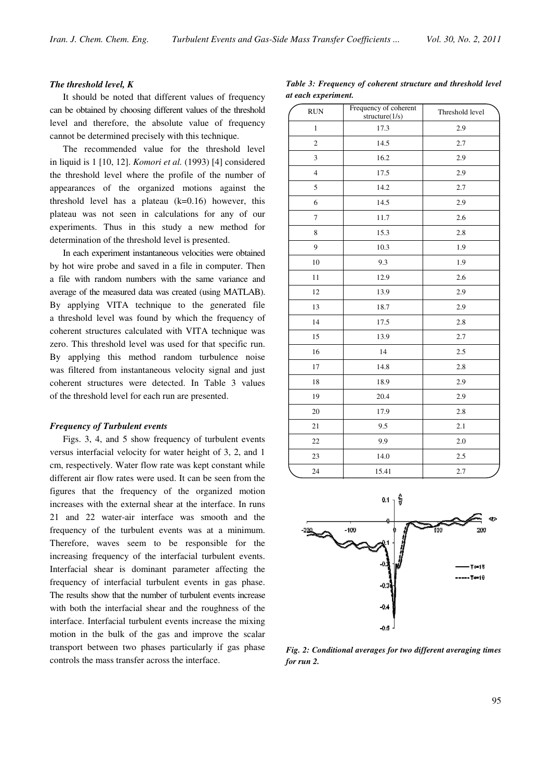## The threshold level, K

It should be noted that different values of frequency can be obtained by choosing different values of the threshold level and therefore, the absolute value of frequency cannot be determined precisely with this technique.

The recommended value for the threshold level in liquid is 1 [10, 12]. Komori et al. (1993) [4] considered the threshold level where the profile of the number of appearances of the organized motions against the threshold level has a plateau  $(k=0.16)$  however, this plateau was not seen in calculations for any of our experiments. Thus in this study a new method for determination of the threshold level is presented.

In each experiment instantaneous velocities were obtained by hot wire probe and saved in a file in computer. Then a file with random numbers with the same variance and average of the measured data was created (using MATLAB). By applying VITA technique to the generated file a threshold level was found by which the frequency of coherent structures calculated with VITA technique was zero. This threshold level was used for that specific run. By applying this method random turbulence noise was filtered from instantaneous velocity signal and just coherent structures were detected. In Table 3 values of the threshold level for each run are presented.

#### Frequency of Turbulent events

Figs. 3, 4, and 5 show frequency of turbulent events versus interfacial velocity for water height of 3, 2, and 1 cm, respectively. Water flow rate was kept constant while different air flow rates were used. It can be seen from the figures that the frequency of the organized motion increases with the external shear at the interface. In runs 21 and 22 water-air interface was smooth and the frequency of the turbulent events was at a minimum. Therefore, waves seem to be responsible for the increasing frequency of the interfacial turbulent events. Interfacial shear is dominant parameter affecting the frequency of interfacial turbulent events in gas phase. The results show that the number of turbulent events increase with both the interfacial shear and the roughness of the interface. Interfacial turbulent events increase the mixing motion in the bulk of the gas and improve the scalar transport between two phases particularly if gas phase controls the mass transfer across the interface.

Table 3: Frequency of coherent structure and threshold level at each experiment.

| <b>RUN</b>              | Frequency of coherent<br>structure(1/s) | Threshold level |
|-------------------------|-----------------------------------------|-----------------|
| $\mathbf{1}$            | 17.3                                    | 2.9             |
| $\overline{c}$          | 14.5                                    | 2.7             |
| 3                       | 16.2                                    | 2.9             |
| $\overline{\mathbf{4}}$ | 17.5                                    | 2.9             |
| 5                       | 14.2                                    | 2.7             |
| 6                       | 14.5                                    | 2.9             |
| $\overline{7}$          | 11.7                                    | 2.6             |
| 8                       | 15.3                                    | 2.8             |
| 9                       | 10.3                                    | 1.9             |
| 10                      | 9.3                                     | 1.9             |
| 11                      | 12.9                                    | 2.6             |
| 12                      | 13.9                                    | 2.9             |
| 13                      | 18.7                                    | 2.9             |
| 14                      | 17.5                                    | 2.8             |
| 15                      | 13.9                                    | 2.7             |
| 16                      | 14                                      | 2.5             |
| 17                      | 14.8                                    | 2.8             |
| 18                      | 18.9                                    | 2.9             |
| 19                      | 20.4                                    | 2.9             |
| 20                      | 17.9                                    | 2.8             |
| 21                      | 9.5                                     | 2.1             |
| $22\,$                  | 9.9                                     | 2.0             |
| 23                      | 14.0                                    | 2.5             |
| 24                      | 15.41                                   | 2.7             |



Fig. 2: Conditional averages for two different averaging times for run 2.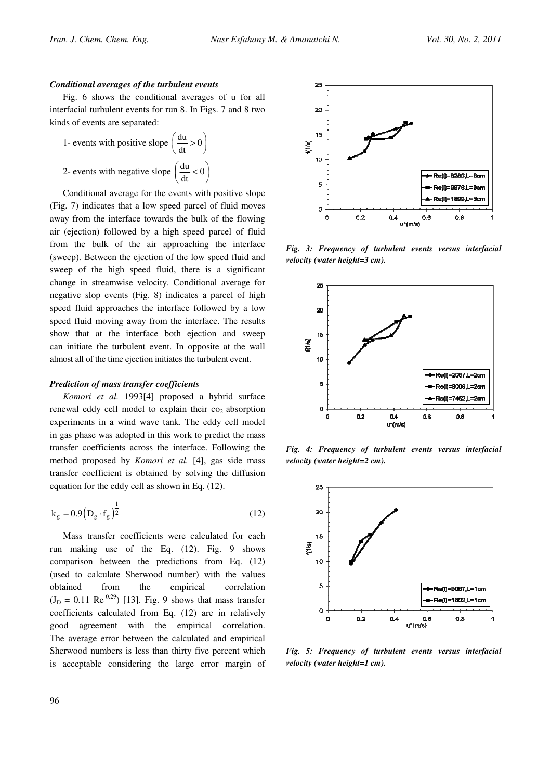#### Conditional averages of the turbulent events

Fig. 6 shows the conditional averages of u for all interfacial turbulent events for run 8. In Figs. 7 and 8 two kinds of events are separated:

1- events with positive slope 
$$
\left(\frac{du}{dt} > 0\right)
$$
  
2- events with negative slope  $\left(\frac{du}{dt} < 0\right)$ 

Conditional average for the events with positive slope (Fig. 7) indicates that a low speed parcel of fluid moves away from the interface towards the bulk of the flowing air (ejection) followed by a high speed parcel of fluid from the bulk of the air approaching the interface (sweep). Between the ejection of the low speed fluid and sweep of the high speed fluid, there is a significant change in streamwise velocity. Conditional average for negative slop events (Fig. 8) indicates a parcel of high speed fluid approaches the interface followed by a low speed fluid moving away from the interface. The results show that at the interface both ejection and sweep can initiate the turbulent event. In opposite at the wall almost all of the time ejection initiates the turbulent event.

#### Prediction of mass transfer coefficients

Komori et al. 1993[4] proposed a hybrid surface renewal eddy cell model to explain their  $co<sub>2</sub>$  absorption experiments in a wind wave tank. The eddy cell model in gas phase was adopted in this work to predict the mass transfer coefficients across the interface. Following the method proposed by Komori et al. [4], gas side mass transfer coefficient is obtained by solving the diffusion equation for the eddy cell as shown in Eq. (12).

$$
k_g = 0.9 (D_g \cdot f_g)^{\frac{1}{2}}
$$
 (12)

Mass transfer coefficients were calculated for each run making use of the Eq. (12). Fig. 9 shows comparison between the predictions from Eq. (12) (used to calculate Sherwood number) with the values obtained from the empirical correlation  $(J_D = 0.11 \text{ Re}^{-0.29})$  [13]. Fig. 9 shows that mass transfer coefficients calculated from Eq. (12) are in relatively good agreement with the empirical correlation. The average error between the calculated and empirical Sherwood numbers is less than thirty five percent which is acceptable considering the large error margin of



Fig. 3: Frequency of turbulent events versus interfacial velocity (water height=3 cm).



Fig. 4: Frequency of turbulent events versus interfacial velocity (water height=2 cm).



Fig. 5: Frequency of turbulent events versus interfacial velocity (water height=1 cm).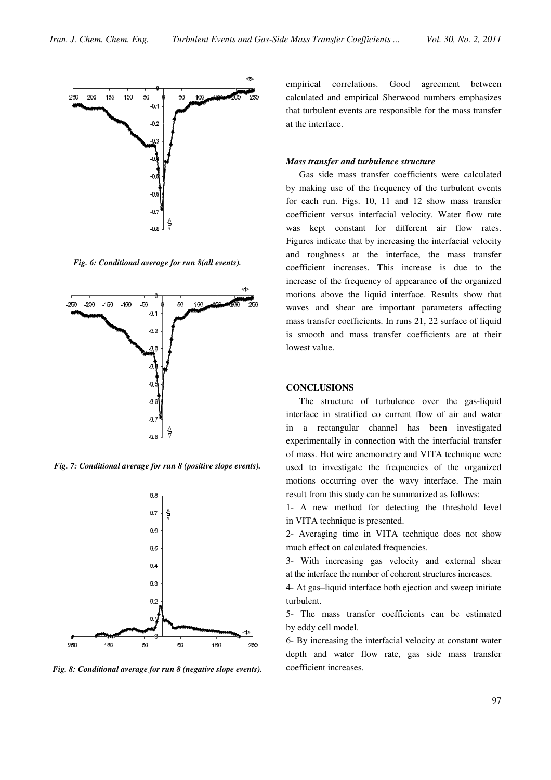

Fig. 6: Conditional average for run 8(all events).



Fig. 7: Conditional average for run 8 (positive slope events).



Fig. 8: Conditional average for run 8 (negative slope events).

empirical correlations. Good agreement between calculated and empirical Sherwood numbers emphasizes that turbulent events are responsible for the mass transfer at the interface.

## Mass transfer and turbulence structure

Gas side mass transfer coefficients were calculated by making use of the frequency of the turbulent events for each run. Figs. 10, 11 and 12 show mass transfer coefficient versus interfacial velocity. Water flow rate was kept constant for different air flow rates. Figures indicate that by increasing the interfacial velocity and roughness at the interface, the mass transfer coefficient increases. This increase is due to the increase of the frequency of appearance of the organized motions above the liquid interface. Results show that waves and shear are important parameters affecting mass transfer coefficients. In runs 21, 22 surface of liquid is smooth and mass transfer coefficients are at their lowest value.

#### **CONCLUSIONS**

The structure of turbulence over the gas-liquid interface in stratified co current flow of air and water in a rectangular channel has been investigated experimentally in connection with the interfacial transfer of mass. Hot wire anemometry and VITA technique were used to investigate the frequencies of the organized motions occurring over the wavy interface. The main result from this study can be summarized as follows:

1- A new method for detecting the threshold level in VITA technique is presented.

2- Averaging time in VITA technique does not show much effect on calculated frequencies.

3- With increasing gas velocity and external shear at the interface the number of coherent structures increases.

4- At gas–liquid interface both ejection and sweep initiate turbulent.

5- The mass transfer coefficients can be estimated by eddy cell model.

6- By increasing the interfacial velocity at constant water depth and water flow rate, gas side mass transfer coefficient increases.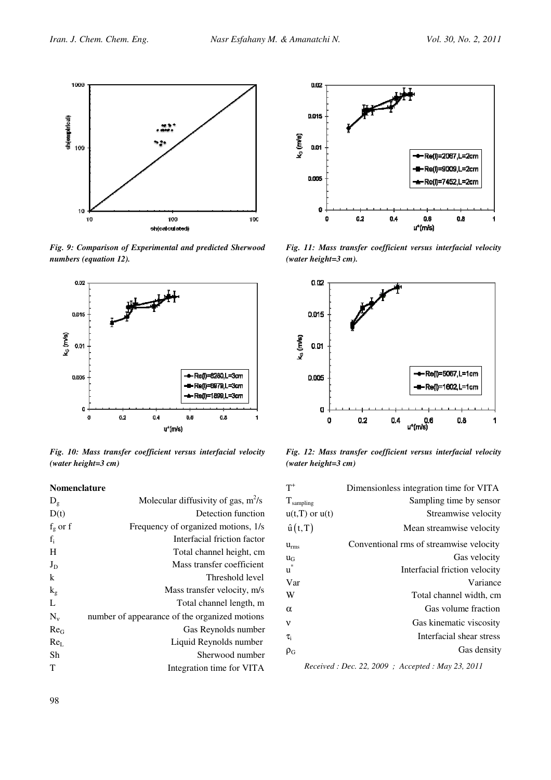

Fig. 9: Comparison of Experimental and predicted Sherwood numbers (equation 12).



Fig. 10: Mass transfer coefficient versus interfacial velocity (water height=3 cm)

#### Nomenclature

| $D_{g}$         | Molecular diffusivity of gas, $m^2/s$         |
|-----------------|-----------------------------------------------|
| D(t)            | Detection function                            |
| $f_g$ or $f$    | Frequency of organized motions, 1/s           |
| $f_i$           | Interfacial friction factor                   |
| H               | Total channel height, cm                      |
| $J_D$           | Mass transfer coefficient                     |
| k               | Threshold level                               |
| $k_{\rm g}$     | Mass transfer velocity, m/s                   |
| L               | Total channel length, m                       |
| $N_v$           | number of appearance of the organized motions |
| Re <sub>G</sub> | Gas Reynolds number                           |
| Re <sub>I</sub> | Liquid Reynolds number                        |
| Sh              | Sherwood number                               |
| т               | Integration time for VITA                     |
|                 |                                               |



Fig. 11: Mass transfer coefficient versus interfacial velocity (water height=3 cm).



Fig. 12: Mass transfer coefficient versus interfacial velocity (water height=3 cm)

| $T^+$              | Dimensionless integration time for VITA |
|--------------------|-----------------------------------------|
| $T_{sampling}$     | Sampling time by sensor                 |
| $u(t,T)$ or $u(t)$ | Streamwise velocity                     |
| $\hat{u}(t,T)$     | Mean streamwise velocity                |
| $u_{\rm rms}$      | Conventional rms of streamwise velocity |
| $u_G$              | Gas velocity                            |
| $\mathbf{u}^*$     | Interfacial friction velocity           |
| Var                | Variance                                |
| W                  | Total channel width, cm                 |
| $\alpha$           | Gas volume fraction                     |
| ν                  | Gas kinematic viscosity                 |
| $\tau_{\rm i}$     | Interfacial shear stress                |
| $\rho_G$           | Gas density                             |

Received : Dec. 22, 2009 ; Accepted : May 23, 2011